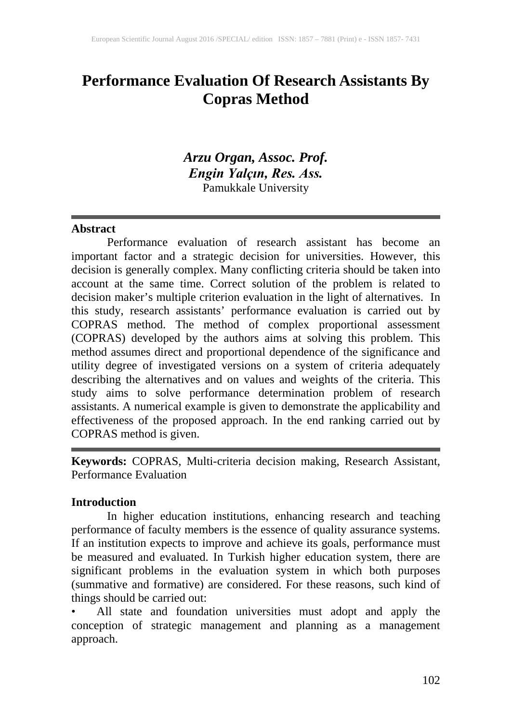# **Performance Evaluation Of Research Assistants By Copras Method**

# *Arzu Organ, Assoc. Prof. Engin Yalçın, Res. Ass.* Pamukkale University

#### **Abstract**

Performance evaluation of research assistant has become an important factor and a strategic decision for universities. However, this decision is generally complex. Many conflicting criteria should be taken into account at the same time. Correct solution of the problem is related to decision maker's multiple criterion evaluation in the light of alternatives. In this study, research assistants' performance evaluation is carried out by COPRAS method. The method of complex proportional assessment (COPRAS) developed by the authors aims at solving this problem. This method assumes direct and proportional dependence of the significance and utility degree of investigated versions on a system of criteria adequately describing the alternatives and on values and weights of the criteria. This study aims to solve performance determination problem of research assistants. A numerical example is given to demonstrate the applicability and effectiveness of the proposed approach. In the end ranking carried out by COPRAS method is given.

**Keywords:** COPRAS, Multi-criteria decision making, Research Assistant, Performance Evaluation

#### **Introduction**

In higher education institutions, enhancing research and teaching performance of faculty members is the essence of quality assurance systems. If an institution expects to improve and achieve its goals, performance must be measured and evaluated. In Turkish higher education system, there are significant problems in the evaluation system in which both purposes (summative and formative) are considered. For these reasons, such kind of things should be carried out:

• All state and foundation universities must adopt and apply the conception of strategic management and planning as a management approach.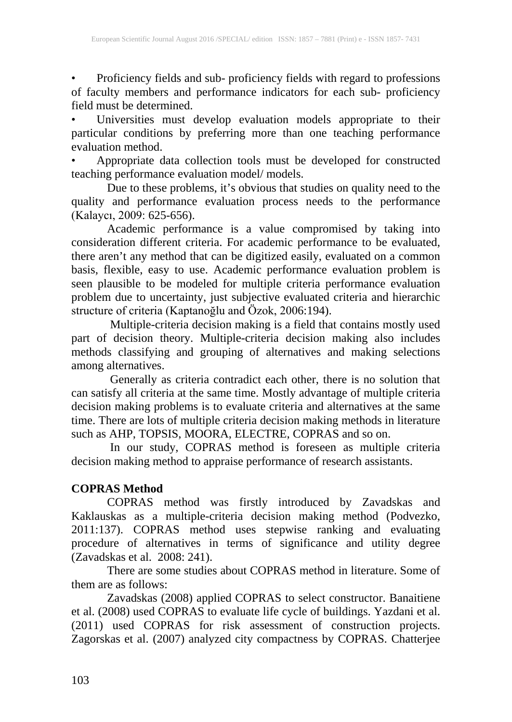• Proficiency fields and sub- proficiency fields with regard to professions of faculty members and performance indicators for each sub- proficiency field must be determined.

• Universities must develop evaluation models appropriate to their particular conditions by preferring more than one teaching performance evaluation method.

• Appropriate data collection tools must be developed for constructed teaching performance evaluation model/ models.

Due to these problems, it's obvious that studies on quality need to the quality and performance evaluation process needs to the performance (Kalaycı, 2009: 625-656).

Academic performance is a value compromised by taking into consideration different criteria. For academic performance to be evaluated, there aren't any method that can be digitized easily, evaluated on a common basis, flexible, easy to use. Academic performance evaluation problem is seen plausible to be modeled for multiple criteria performance evaluation problem due to uncertainty, just subjective evaluated criteria and hierarchic structure of criteria (Kaptanoğlu and Özok, 2006:194).

 Multiple-criteria decision making is a field that contains mostly used part of decision theory. Multiple-criteria decision making also includes methods classifying and grouping of alternatives and making selections among alternatives.

 Generally as criteria contradict each other, there is no solution that can satisfy all criteria at the same time. Mostly advantage of multiple criteria decision making problems is to evaluate criteria and alternatives at the same time. There are lots of multiple criteria decision making methods in literature such as AHP, TOPSIS, MOORA, ELECTRE, COPRAS and so on.

 In our study, COPRAS method is foreseen as multiple criteria decision making method to appraise performance of research assistants.

# **COPRAS Method**

COPRAS method was firstly introduced by Zavadskas and Kaklauskas as a multiple-criteria decision making method (Podvezko, 2011:137). COPRAS method uses stepwise ranking and evaluating procedure of alternatives in terms of significance and utility degree (Zavadskas et al. 2008: 241).

There are some studies about COPRAS method in literature. Some of them are as follows:

Zavadskas (2008) applied COPRAS to select constructor. Banaitiene et al. (2008) used COPRAS to evaluate life cycle of buildings. Yazdani et al. (2011) used COPRAS for risk assessment of construction projects. Zagorskas et al. (2007) analyzed city compactness by COPRAS. Chatterjee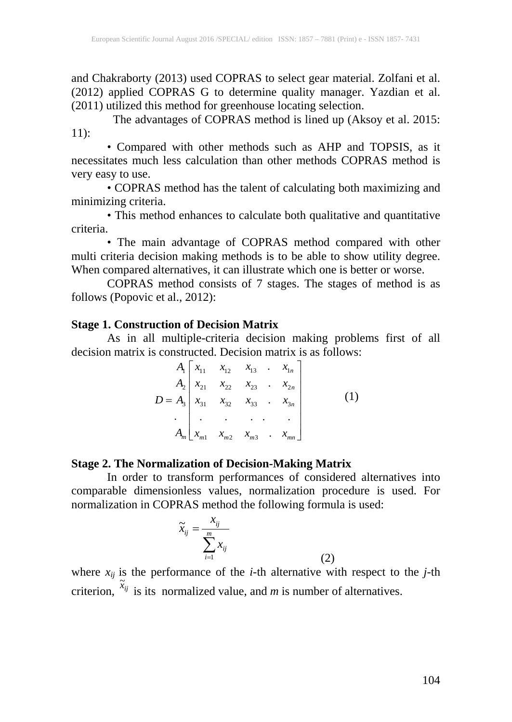and Chakraborty (2013) used COPRAS to select gear material. Zolfani et al. (2012) applied COPRAS G to determine quality manager. Yazdian et al. (2011) utilized this method for greenhouse locating selection.

 The advantages of COPRAS method is lined up (Aksoy et al. 2015: 11):

• Compared with other methods such as AHP and TOPSIS, as it necessitates much less calculation than other methods COPRAS method is very easy to use.

• COPRAS method has the talent of calculating both maximizing and minimizing criteria.

• This method enhances to calculate both qualitative and quantitative criteria.

• The main advantage of COPRAS method compared with other multi criteria decision making methods is to be able to show utility degree. When compared alternatives, it can illustrate which one is better or worse.

COPRAS method consists of 7 stages. The stages of method is as follows (Popovic et al., 2012):

#### **Stage 1. Construction of Decision Matrix**

As in all multiple-criteria decision making problems first of all decision matrix is constructed. Decision matrix is as follows:

$$
A_{1}\begin{bmatrix} x_{11} & x_{12} & x_{13} & \dots & x_{1n} \\ x_{21} & x_{22} & x_{23} & \dots & x_{2n} \\ x_{31} & x_{32} & x_{33} & \dots & x_{3n} \\ \vdots & \vdots & \vdots & \ddots & \vdots \\ x_{m1} & x_{m2} & x_{m3} & \dots & x_{mn} \end{bmatrix}
$$
 (1)

#### **Stage 2. The Normalization of Decision-Making Matrix**

In order to transform performances of considered alternatives into comparable dimensionless values, normalization procedure is used. For normalization in COPRAS method the following formula is used:

$$
\widetilde{x}_{ij} = \frac{x_{ij}}{\sum_{i=1}^{m} x_{ij}}
$$
\n(2)

where  $x_{ij}$  is the performance of the *i*-th alternative with respect to the *j*-th criterion,  $\tilde{x}_{ij}$ is its normalized value, and *m* is number of alternatives.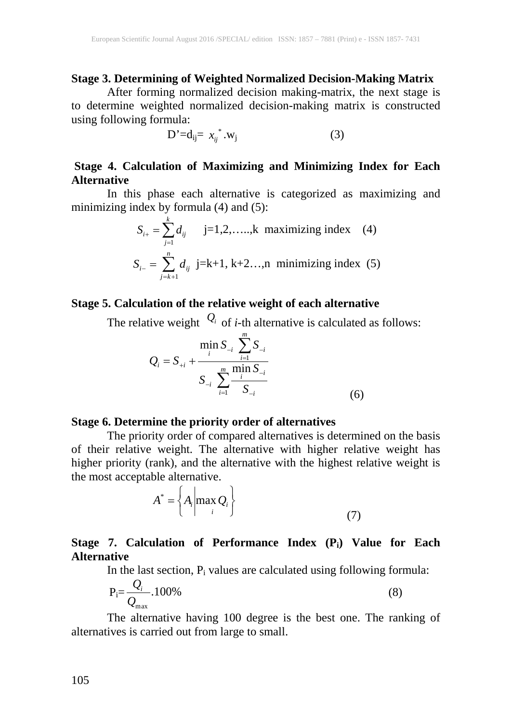### **Stage 3. Determining of Weighted Normalized Decision-Making Matrix**

After forming normalized decision making-matrix, the next stage is to determine weighted normalized decision-making matrix is constructed using following formula:

$$
D' = d_{ij} = x_{ij}^* \cdot w_j \tag{3}
$$

# **Stage 4. Calculation of Maximizing and Minimizing Index for Each Alternative**

In this phase each alternative is categorized as maximizing and minimizing index by formula  $(4)$  and  $(5)$ :

$$
S_{i+} = \sum_{j=1}^{k} d_{ij} \quad j=1,2,\dots,k \text{ maximizing index } (4)
$$
  

$$
S_{i-} = \sum_{j=k+1}^{n} d_{ij} \text{ j=k+1, k+2..., n minimizing index } (5)
$$

# **Stage 5. Calculation of the relative weight of each alternative**

The relative weight  $Q_i$  of *i*-th alternative is calculated as follows:

$$
Q_{i} = S_{+i} + \frac{\min_{i} S_{-i}}{S_{-i}} \frac{\sum_{i=1}^{m} S_{-i}}{\sum_{i=1}^{m} \frac{\min_{i} S_{-i}}{S_{-i}}} \tag{6}
$$

#### **Stage 6. Determine the priority order of alternatives**

The priority order of compared alternatives is determined on the basis of their relative weight. The alternative with higher relative weight has higher priority (rank), and the alternative with the highest relative weight is the most acceptable alternative.

$$
A^* = \left\{ A_i \middle| \max_i Q_i \right\} \tag{7}
$$

# **Stage 7. Calculation of Performance Index (Pi) Value for Each Alternative**

In the last section,  $P_i$  values are calculated using following formula:

$$
P_i = \frac{Q_i}{Q_{max}} .100\%
$$
\n(8)

The alternative having 100 degree is the best one. The ranking of alternatives is carried out from large to small.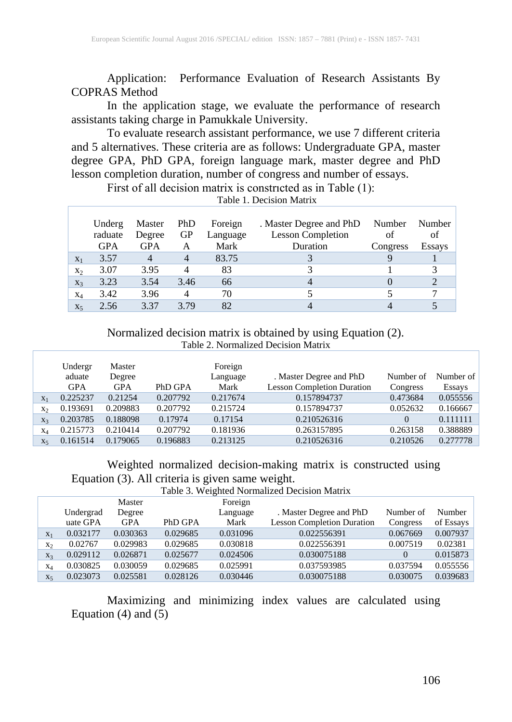Application: Performance Evaluation of Research Assistants By COPRAS Method

In the application stage, we evaluate the performance of research assistants taking charge in Pamukkale University.

To evaluate research assistant performance, we use 7 different criteria and 5 alternatives. These criteria are as follows: Undergraduate GPA, master degree GPA, PhD GPA, foreign language mark, master degree and PhD lesson completion duration, number of congress and number of essays.

First of all decision matrix is constricted as in Table (1):

|                | Underg<br>raduate<br><b>GPA</b> | Master<br>Degree<br><b>GPA</b> | PhD.<br>GP          | Foreign<br>Language<br>Mark | . Master Degree and PhD<br><b>Lesson Completion</b><br>Duration | Number<br>of | Number  <br>of |
|----------------|---------------------------------|--------------------------------|---------------------|-----------------------------|-----------------------------------------------------------------|--------------|----------------|
| $X_1$          | 3.57                            | $\overline{4}$                 | A<br>$\overline{4}$ | 83.75                       |                                                                 | Congress     | <b>Essays</b>  |
| $X_2$          | 3.07                            | 3.95                           | 4                   | 83                          |                                                                 |              |                |
| $X_3$          | 3.23                            | 3.54                           | 3.46                | 66                          |                                                                 |              |                |
| $X_4$          | 3.42                            | 3.96                           | 4                   | 70                          |                                                                 |              |                |
| X <sub>5</sub> | 2.56                            | 3.37                           | 3.79                | 82                          |                                                                 |              |                |

Table 1. Decision Matrix

Normalized decision matrix is obtained by using Equation (2). Table 2. Normalized Decision Matrix

|                | Undergr<br>aduate<br><b>GPA</b> | Master<br>Degree<br><b>GPA</b> | PhD GPA  | Foreign<br>Language<br>Mark | . Master Degree and PhD<br><b>Lesson Completion Duration</b> | Number of<br>Congress | Number of<br><b>Essays</b> |
|----------------|---------------------------------|--------------------------------|----------|-----------------------------|--------------------------------------------------------------|-----------------------|----------------------------|
| $X_1$          | 0.225237                        | 0.21254                        | 0.207792 | 0.217674                    | 0.157894737                                                  | 0.473684              | 0.055556                   |
| $X_{2}$        | 0.193691                        | 0.209883                       | 0.207792 | 0.215724                    | 0.157894737                                                  | 0.052632              | 0.166667                   |
| $X_3$          | 0.203785                        | 0.188098                       | 0.17974  | 0.17154                     | 0.210526316                                                  | $\Omega$              | 0.111111                   |
| $X_4$          | 0.215773                        | 0.210414                       | 0.207792 | 0.181936                    | 0.263157895                                                  | 0.263158              | 0.388889                   |
| X <sub>5</sub> | 0.161514                        | 0.179065                       | 0.196883 | 0.213125                    | 0.210526316                                                  | 0.210526              | 0.277778                   |

Weighted normalized decision-making matrix is constructed using Equation (3). All criteria is given same weight.

Table 3. Weighted Normalized Decision Matrix

|                |           | Master     |          | Foreign  |                                   |           |           |
|----------------|-----------|------------|----------|----------|-----------------------------------|-----------|-----------|
|                | Undergrad | Degree     |          | Language | . Master Degree and PhD           | Number of | Number    |
|                | uate GPA  | <b>GPA</b> | PhD GPA  | Mark     | <b>Lesson Completion Duration</b> | Congress  | of Essays |
| $X_1$          | 0.032177  | 0.030363   | 0.029685 | 0.031096 | 0.022556391                       | 0.067669  | 0.007937  |
| X <sub>2</sub> | 0.02767   | 0.029983   | 0.029685 | 0.030818 | 0.022556391                       | 0.007519  | 0.02381   |
| $X_3$          | 0.029112  | 0.026871   | 0.025677 | 0.024506 | 0.030075188                       |           | 0.015873  |
| $X_4$          | 0.030825  | 0.030059   | 0.029685 | 0.025991 | 0.037593985                       | 0.037594  | 0.055556  |
| X <sub>5</sub> | 0.023073  | 0.025581   | 0.028126 | 0.030446 | 0.030075188                       | 0.030075  | 0.039683  |

Maximizing and minimizing index values are calculated using Equation  $(4)$  and  $(5)$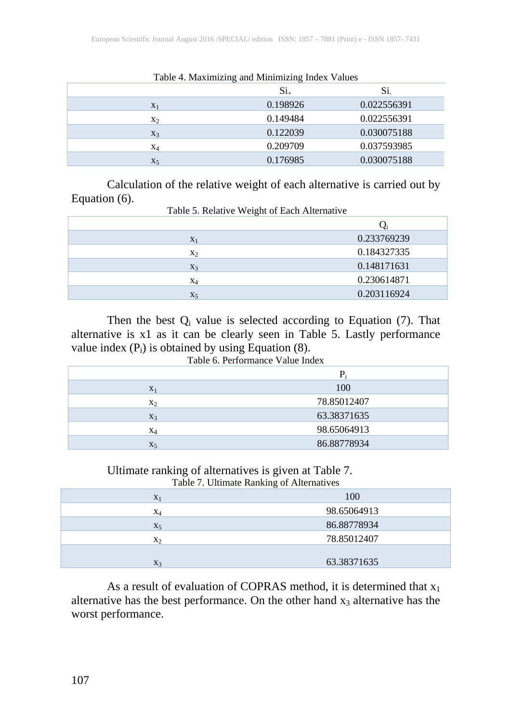|       | Table 4. Maximizing and Minimizing moex values |             |
|-------|------------------------------------------------|-------------|
|       | $Si_{+}$                                       | Si.         |
| $X_1$ | 0.198926                                       | 0.022556391 |
| $x_2$ | 0.149484                                       | 0.022556391 |
| $X_3$ | 0.122039                                       | 0.030075188 |
| X4    | 0.209709                                       | 0.037593985 |
| $X_5$ | 0.176985                                       | 0.030075188 |

Table 4. Maximizing and Minimizing Index Values

Calculation of the relative weight of each alternative is carried out by Equation (6).<br>Table 5. Relative Weight of Each Alternative

| $X_1$          | 0.233769239 |
|----------------|-------------|
| X <sub>2</sub> | 0.184327335 |
| $X_3$          | 0.148171631 |
| $X_4$          | 0.230614871 |
| X <sub>5</sub> | 0.203116924 |

Then the best  $Q_i$  value is selected according to Equation (7). That alternative is x1 as it can be clearly seen in Table 5. Lastly performance value index  $(P_i)$  is obtained by using Equation  $(8)$ . Table 6. Performance Value Index

|       | $P_i$       |  |  |
|-------|-------------|--|--|
| $X_1$ | 100         |  |  |
| $X_2$ | 78.85012407 |  |  |
| $X_3$ | 63.38371635 |  |  |
| $X_4$ | 98.65064913 |  |  |
| $X_5$ | 86.88778934 |  |  |

Ultimate ranking of alternatives is given at Table 7. Table 7. Ultimate Ranking of Alternatives

| Twere "" craftime realisting or fineering". |             |  |  |  |
|---------------------------------------------|-------------|--|--|--|
| $X_1$                                       | 100         |  |  |  |
| $X_4$                                       | 98.65064913 |  |  |  |
| $X_5$                                       | 86.88778934 |  |  |  |
| $X_2$                                       | 78.85012407 |  |  |  |
|                                             |             |  |  |  |
| $X_3$                                       | 63.38371635 |  |  |  |

As a result of evaluation of COPRAS method, it is determined that  $x_1$ alternative has the best performance. On the other hand  $x_3$  alternative has the worst performance.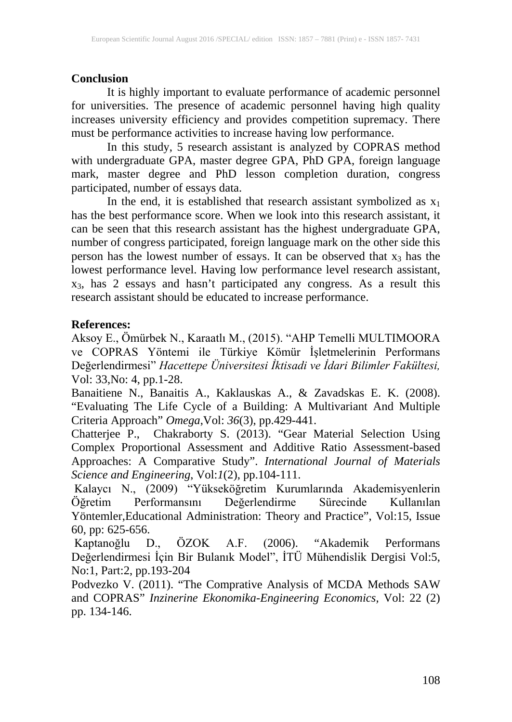# **Conclusion**

It is highly important to evaluate performance of academic personnel for universities. The presence of academic personnel having high quality increases university efficiency and provides competition supremacy. There must be performance activities to increase having low performance.

In this study, 5 research assistant is analyzed by COPRAS method with undergraduate GPA, master degree GPA, PhD GPA, foreign language mark, master degree and PhD lesson completion duration, congress participated, number of essays data.

In the end, it is established that research assistant symbolized as  $x_1$ has the best performance score. When we look into this research assistant, it can be seen that this research assistant has the highest undergraduate GPA, number of congress participated, foreign language mark on the other side this person has the lowest number of essays. It can be observed that  $x_3$  has the lowest performance level. Having low performance level research assistant, x3, has 2 essays and hasn't participated any congress. As a result this research assistant should be educated to increase performance.

### **References:**

Aksoy E., Ömürbek N., Karaatlı M., (2015). "AHP Temelli MULTIMOORA ve COPRAS Yöntemi ile Türkiye Kömür İşletmelerinin Performans Değerlendirmesi" *Hacettepe Üniversitesi İktisadi ve İdari Bilimler Fakültesi,* Vol: 33,No: 4, pp.1-28.

Banaitiene N., Banaitis A., Kaklauskas A., & Zavadskas E. K. (2008). "Evaluating The Life Cycle of a Building: A Multivariant And Multiple Criteria Approach" *Omega*,Vol: *36*(3), pp.429-441.

Chatterjee P., Chakraborty S. (2013). "Gear Material Selection Using Complex Proportional Assessment and Additive Ratio Assessment-based Approaches: A Comparative Study". *International Journal of Materials Science and Engineering*, Vol:*1*(2), pp.104-111.

Kalaycı N., (2009) "Yükseköğretim Kurumlarında Akademisyenlerin Öğretim Performansını Değerlendirme Sürecinde Kullanılan Yöntemler,Educational Administration: Theory and Practice", Vol:15, Issue 60, pp: 625-656.

Kaptanoğlu D., ÖZOK A.F. (2006). "Akademik Performans Değerlendirmesi İçin Bir Bulanık Model", İTÜ Mühendislik Dergisi Vol:5, No:1, Part:2, pp.193-204

Podvezko V. (2011). "The Comprative Analysis of MCDA Methods SAW and COPRAS" *Inzinerine Ekonomika-Engineering Economics,* Vol: 22 (2) pp. 134-146.